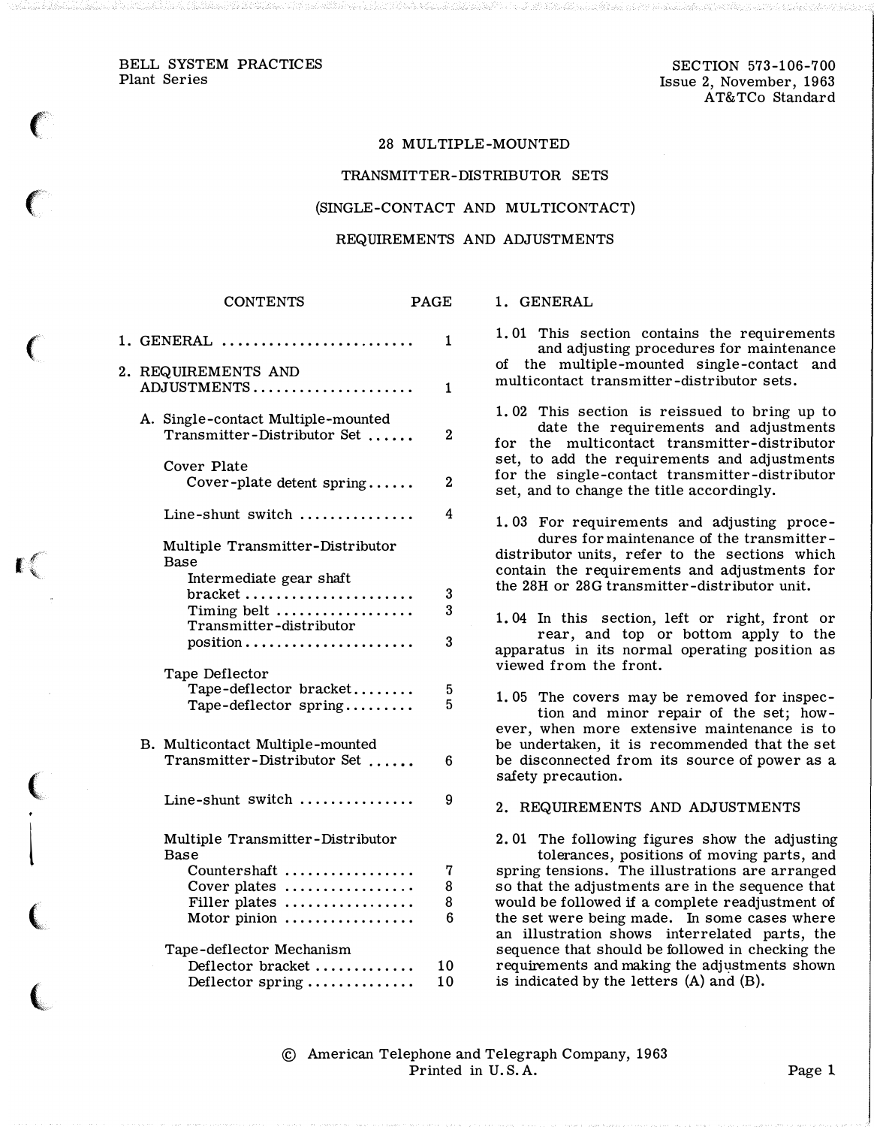$\big($ 

 $\epsilon$ 

 $\big($ 

1:

 $\big($ .<br>१

 $\overline{\phantom{a}}$ 

 $\big($ 

 $\big($ 

#### 28 MULTIPLE-MOUNTED

#### TRANSMITTER-DISTRIBUTOR SETS

#### (SINGLE-CONTACT AND MULTICONTACT)

#### REQUIREMENTS AND ADJUSTMENTS

### CONTENTS PAGE

|    | $1.$ GENERAL $\,\ldots\,$                                         | 1           |
|----|-------------------------------------------------------------------|-------------|
| 2. | REQUIREMENTS AND<br>ADJUSTMENTS                                   | 1           |
|    | A. Single-contact Multiple-mounted<br>Transmitter-Distributor Set | $\mathbf 2$ |
|    | Cover Plate<br>Cover-plate detent spring                          | $\bf{2}$    |
|    | Line-shunt switch                                                 | 4           |
|    | Multiple Transmitter-Distributor<br>Base                          |             |
|    | Intermediate gear shaft<br>bracket<br>Timing belt                 | 3<br>3      |
|    | Transmitter-distributor<br>position                               | 3           |
|    | Tape Deflector<br>Tape-deflector bracket<br>Tape-deflector spring | 5<br>5      |
|    | B. Multicontact Multiple-mounted<br>Transmitter-Distributor Set   | 6           |
|    | Line-shunt switch                                                 | 9           |
|    | Multiple Transmitter-Distributor<br>Base                          |             |
|    | Countershaft<br>Cover plates<br>Filler plates                     | 7<br>8<br>8 |
|    | Motor pinion                                                      | 6           |
|    | Tape-deflector Mechanism<br>Deflector bracket<br>Deflector spring | 10<br>10    |

1. 01 This section contains the requirements

1. GENERAL

and adjusting procedures for maintenance of the multiple-mounted single-contact and multicontact transmitter -distributor sets.

1. 02 This section is reissued to bring up to date the requirements and adjustments for the multicontact transmitter-distributor set, to add the requirements and adjustments for the single-contact transmitter-distributor set, and to change the title accordingly.

1. 03 For requirements and adjusting procedures for maintenance of the transmitterdistributor units, refer to the sections which contain the requirements and adjustments for the 28H or 28G transmitter-distributor unit.

1. 04 In this section, left or right, front or rear, and top or bottom apply to the apparatus in its normal operating position as viewed from the front.

1. 05 The covers may be removed for inspection and minor repair of the set; however, when more extensive maintenance is to be undertaken, it is recommended that the set be disconnected from its source of power as a safety precaution.

2. REQUIREMENTS AND ADJUSTMENTS

2. 01 The following figures show the adjusting tolerances, positions of moving parts, and spring tensions. The illustrations are arranged so that the adjustments are in the sequence that would be followed if a complete readjustment of the set were being made. In some cases where an illustration shows interrelated parts, the sequence that should be followed in checking the requirements and making the adjustments shown is indicated by the letters (A) and (B).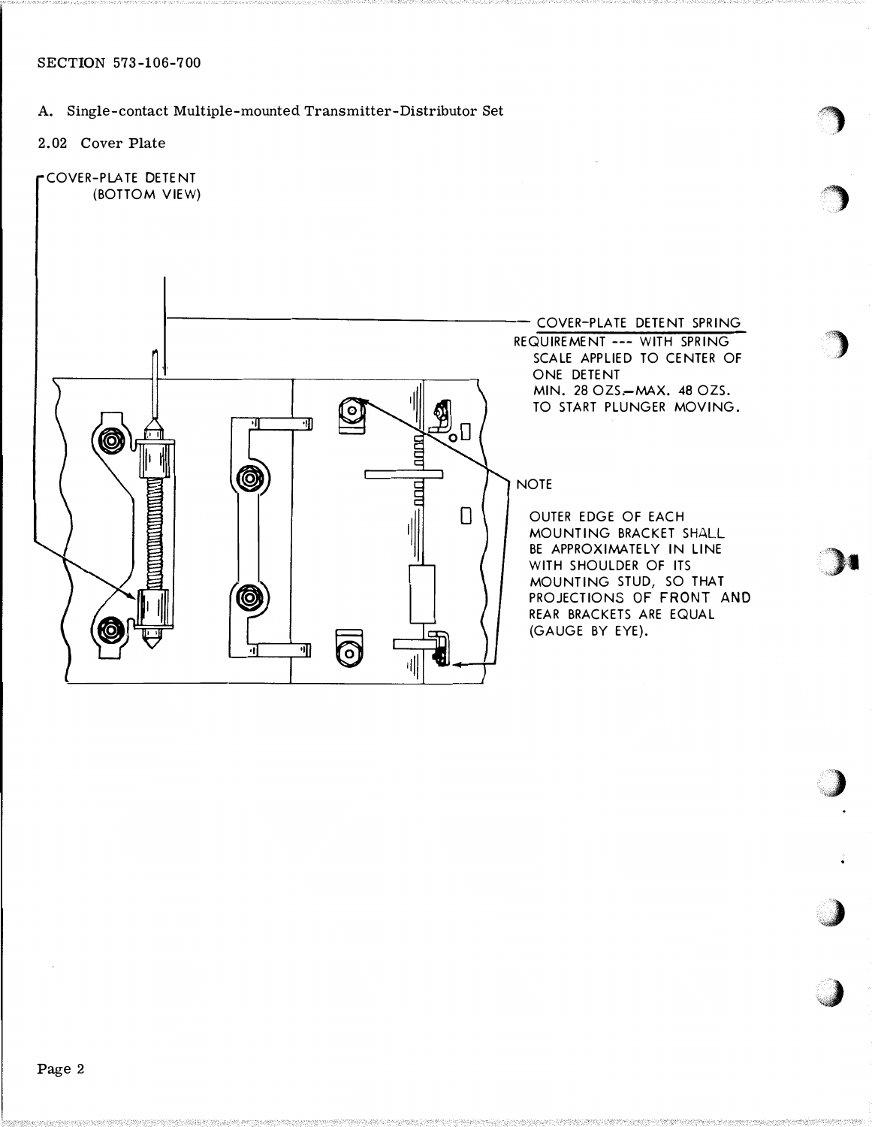# A. Single-contact Multiple-mounted Transmitter-Distributor Set

- 2.02 Cover Plate
- COVER-PLATE DETENT (BOTTOM VIEW)



the contract of the contract of the contract of the contract of the contract of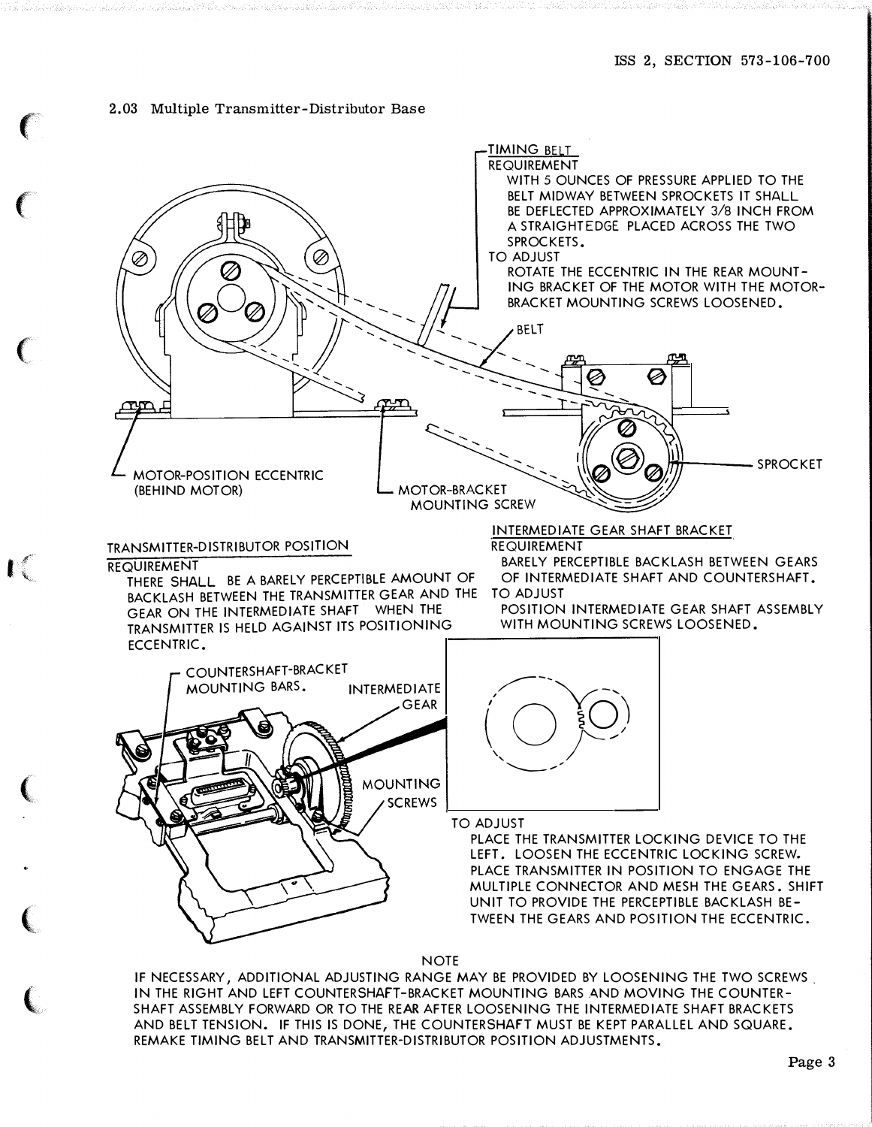### 2.03 Multiple Transmitter-Distributor Base

 $\epsilon$ 

 $\big($ 

 $\epsilon$ 

 $\Gamma$ 

 $\big($ 

 $\big($ 

 $\big($ 



**NOTE** 

IF NECESSARY, ADDITIONAL ADJUSTING RANGE MAY BE PROVIDED BY LOOSENING THE TWO SCREWS IN THE RIGHT AND LEFT COUNTERSHAFT-BRACKET MOUNTING BARS AND MOVING THE COUNTER-SHAFT ASSEMBLY FORWARD OR TO THE REAR AFTER LOOSENING THE INTERMEDIATE SHAFT BRACKETS AND BELT TENSION. IF THIS IS DONE, THE COUNTERSHAFT MUST BE KEPT PARALLEL AND SQUARE. REMAKE TIMING BELT AND TRANSMITTER-DISTRIBUTOR POSITION ADJUSTMENTS.

Page 3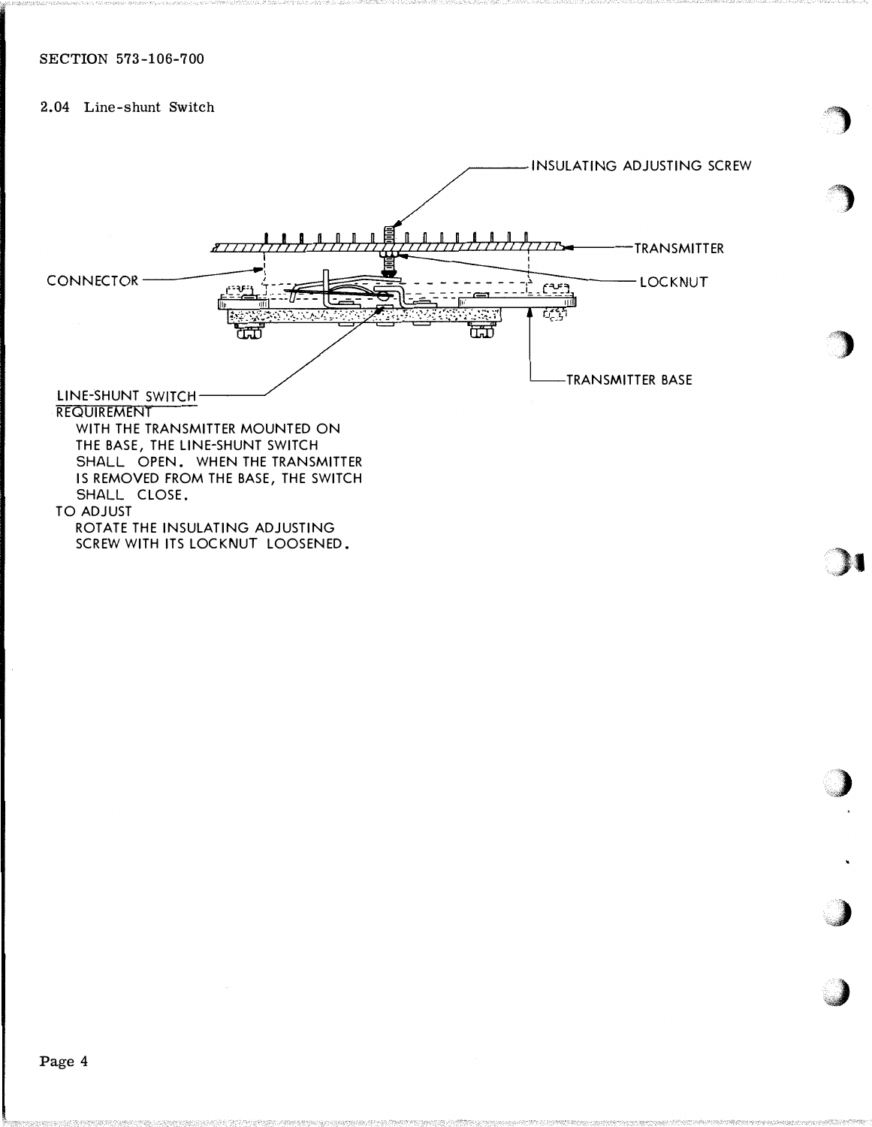## 2.04 Line-shunt Switch

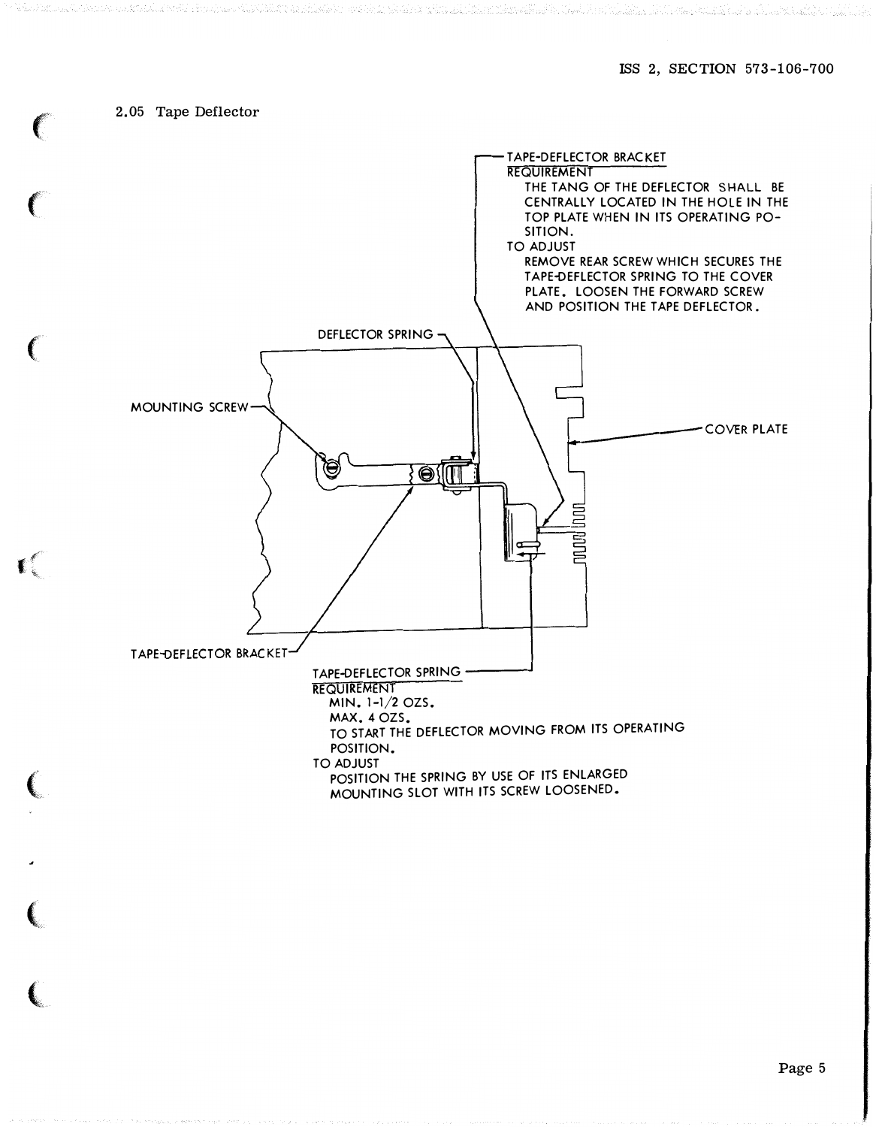## 2.05 Tape Deflector

 $\mathbf{C}$ 

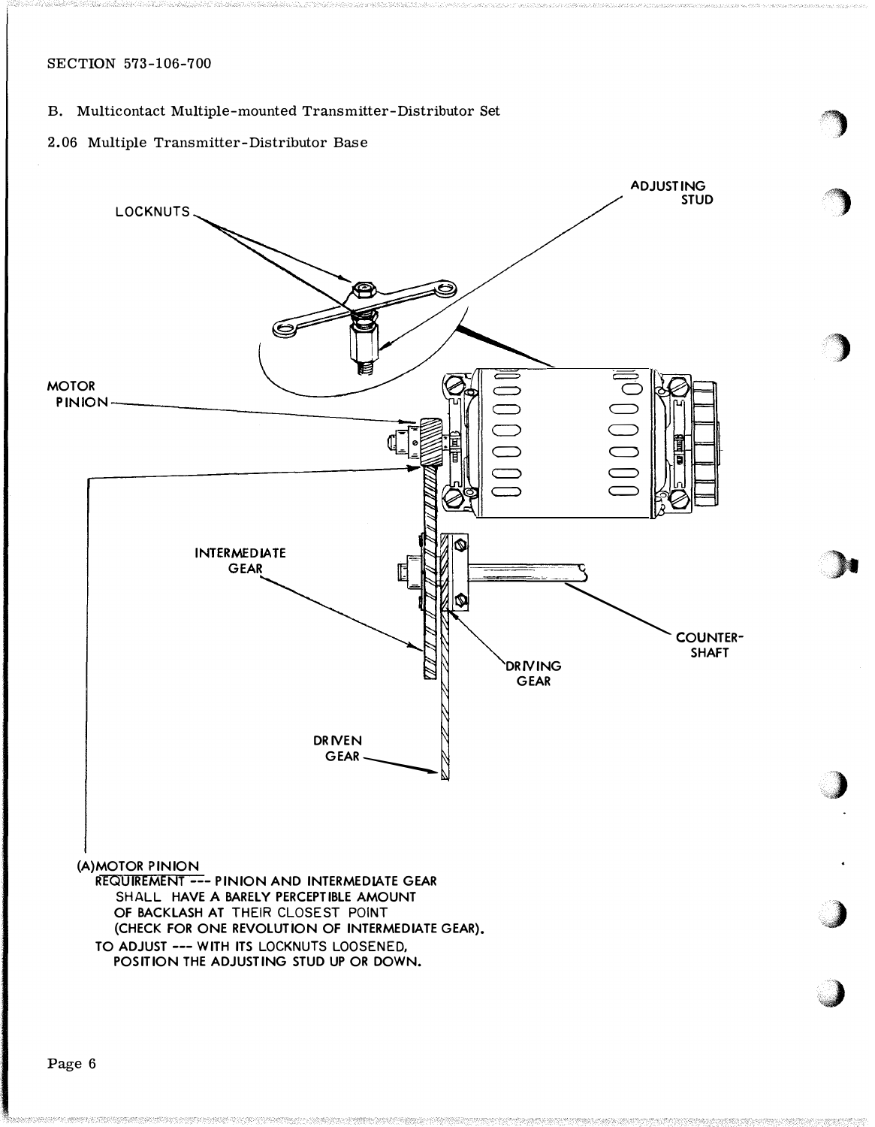## SECTION 573-106-700

- B. Multicontact Multiple-mounted Transmitter-Distributor Set
- 2.06 Multiple Transmitter-Distributor Base



'�

 $\rightarrow$ 

)

)

,)

,J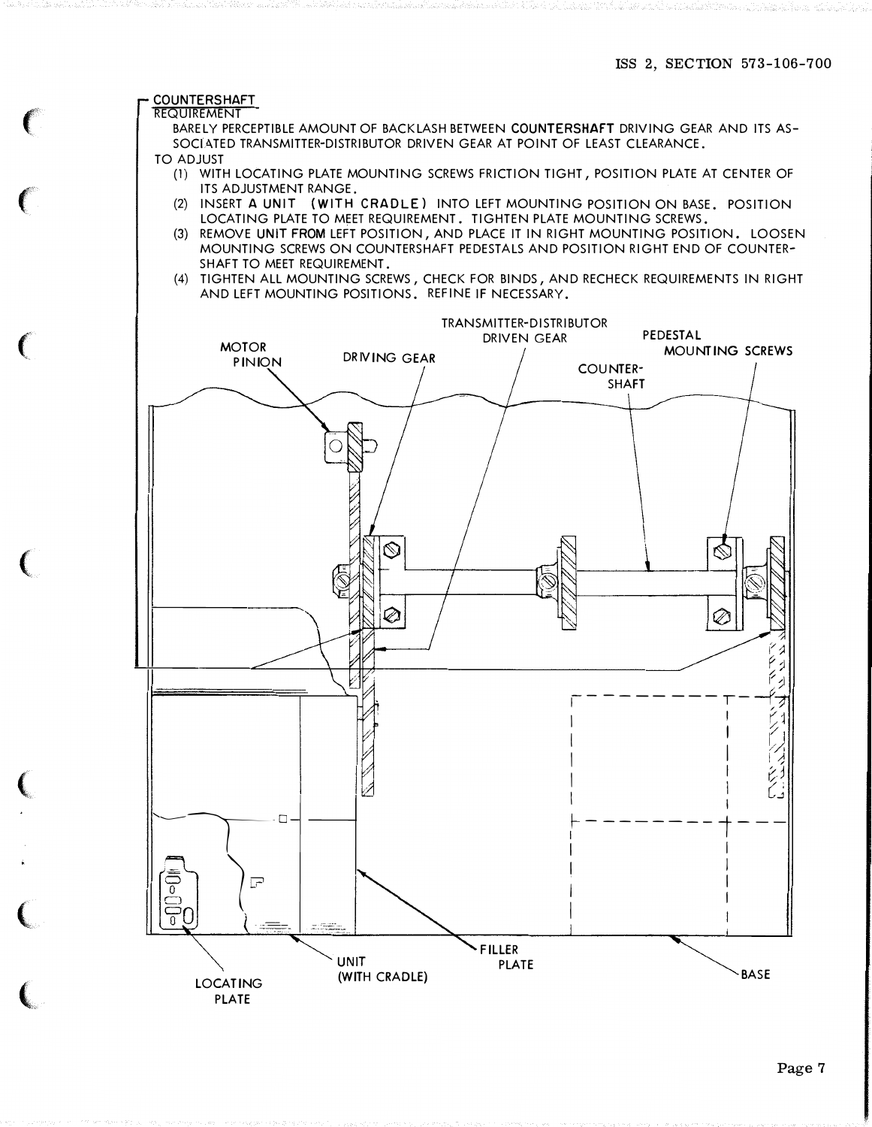#### **COUNTERSHAFT REQUIREMENT**

BARELY PERCEPTIBLE AMOUNT OF BACKLASH BETWEEN COUNTERSHAFT DRIVING GEAR AND ITS AS-SOCIATED TRANSMITTER-DISTRIBUTOR DRIVEN GEAR AT POINT OF LEAST CLEARANCE. **TO ADJUST** 

- (1) WITH LOCATING PLATE MOUNTING SCREWS FRICTION TIGHT, POSITION PLATE AT CENTER OF ITS ADJUSTMENT RANGE.
- (2) INSERT A UNIT (WITH CRADLE) INTO LEFT MOUNTING POSITION ON BASE, POSITION LOCATING PLATE TO MEET REQUIREMENT, TIGHTEN PLATE MOUNTING SCREWS.
- (3) REMOVE UNIT FROM LEFT POSITION, AND PLACE IT IN RIGHT MOUNTING POSITION. LOOSEN MOUNTING SCREWS ON COUNTERSHAFT PEDESTALS AND POSITION RIGHT END OF COUNTER-SHAFT TO MEET REQUIREMENT.
- (4) TIGHTEN ALL MOUNTING SCREWS, CHECK FOR BINDS, AND RECHECK REQUIREMENTS IN RIGHT AND LEFT MOUNTING POSITIONS. REFINE IF NECESSARY.

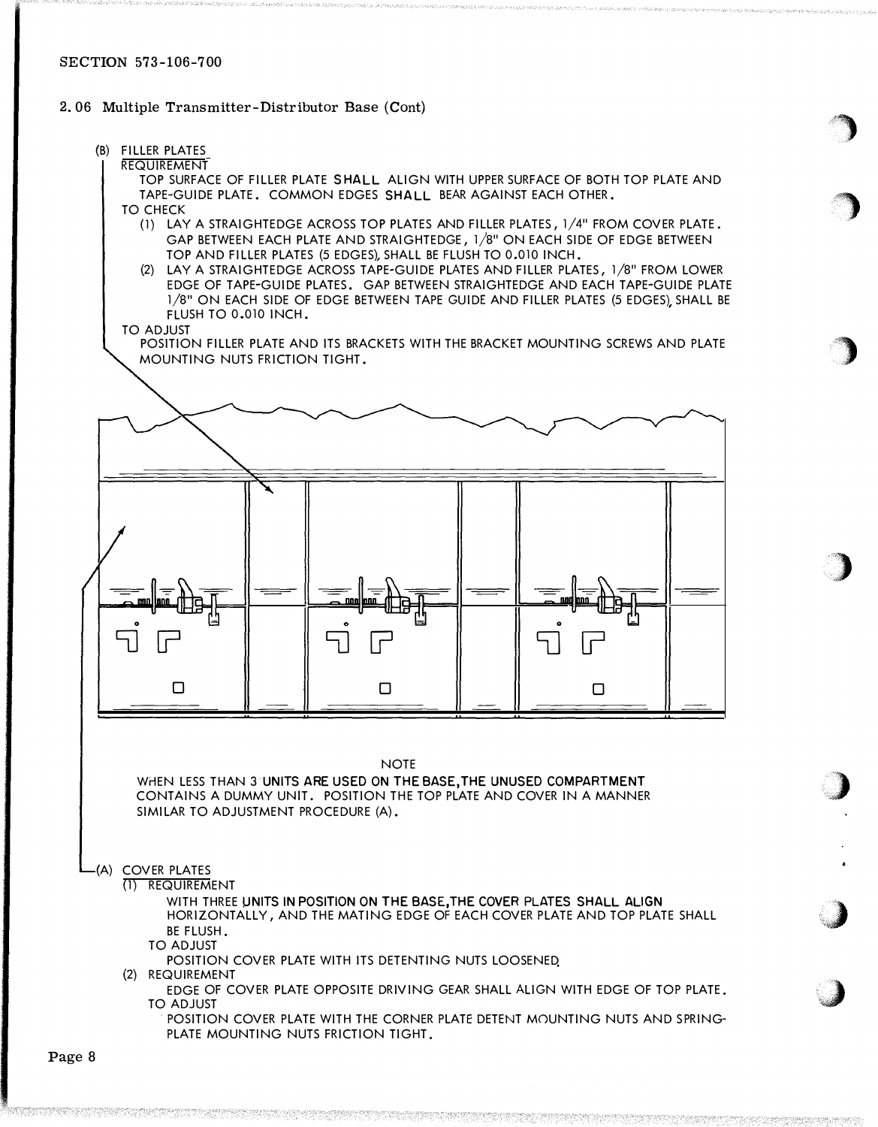## 2.06 Multiple Transmitter-Distributor Base (Cont)

### (B) FILLER PLATES

### **REQUIREMENT**

TOP SURFACE OF FILLER PLATE SHALL ALIGN WITH UPPER SURFACE OF BOTH TOP PLATE AND TAPE-GUIDE PLATE. COMMON EDGES SHALL BEAR AGAINST EACH OTHER. TO CHECK

 $\rightarrow$ 

:�

'}

� " ' .·,·.

*;* 

:,.)

·�

- (1) LAY A STRAIGHTEDGE ACROSS TOP PLATES AND FILLER PLATES, 1/4" FROM COVER PLATE. GAP BETWEEN EACH PLATE AND STRAIGHTEDGE, 1/8" ON EACH SIDE OF EDGE BETWEEN TOP AND FILLER PLATES (5 EDGES), SHALL BE FLUSH TO 0.010 INCH.
- (2) LAY A STRAIGHTEDGE ACROSS TAPE-GUIDE PLATES AND FILLER PLATES, 1/8" FROM LOWER EDGE OF TAPE-GUIDE PLATES. GAP BETWEEN STRAIGHTEDGE AND EACH TAPE-GUIDE PLATE 1/8" ON EACH SIDE OF EDGE BETWEEN TAPE GUIDE AND FILLER PLATES (5 EDGES), SHALL BE FLUSH TO 0.010 INCH.

#### TO ADJUST

POSITION FILLER PLATE AND ITS BRACKETS WITH THE BRACKET MOUNTING SCREWS AND PLATE MOUNTING NUTS FRICTION TIGHT.



#### **NOTE**

WHEN LESS THAN 3 UNITS ARE USED ON THE BASE, THE UNUSED COMPARTMENT CONTAINS A DUMMY UNIT. POSITION THE TOP PLATE AND COVER IN A MANNER SIMILAR TO ADJUSTMENT PROCEDURE (A).

### (A) COVER PLATES

(1) REQUIREMENT

WITH THREE UNITS IN POSITION ON THE BASE, THE COVER PLATES SHALL ALIGN HORIZONTALLY, AND THE MATING EDGE OF EACH COVER PLATE AND TOP PLATE SHALL BE FLUSH.

TO ADJUST

POSITION COVER PLATE WITH ITS DETENTING NUTS LOOSENED.

(2) REQUIREMENT

EDGE OF COVER PLATE OPPOSITE DRIVING GEAR SHALL ALIGN WITH EDGE OF TOP PLATE. TO ADJUST

POSITION COVER PLATE WITH THE CORNER PLATE DETENT MOUNTING NUTS AND SPRING-PLATE MOUNTING NUTS FRICTION TIGHT.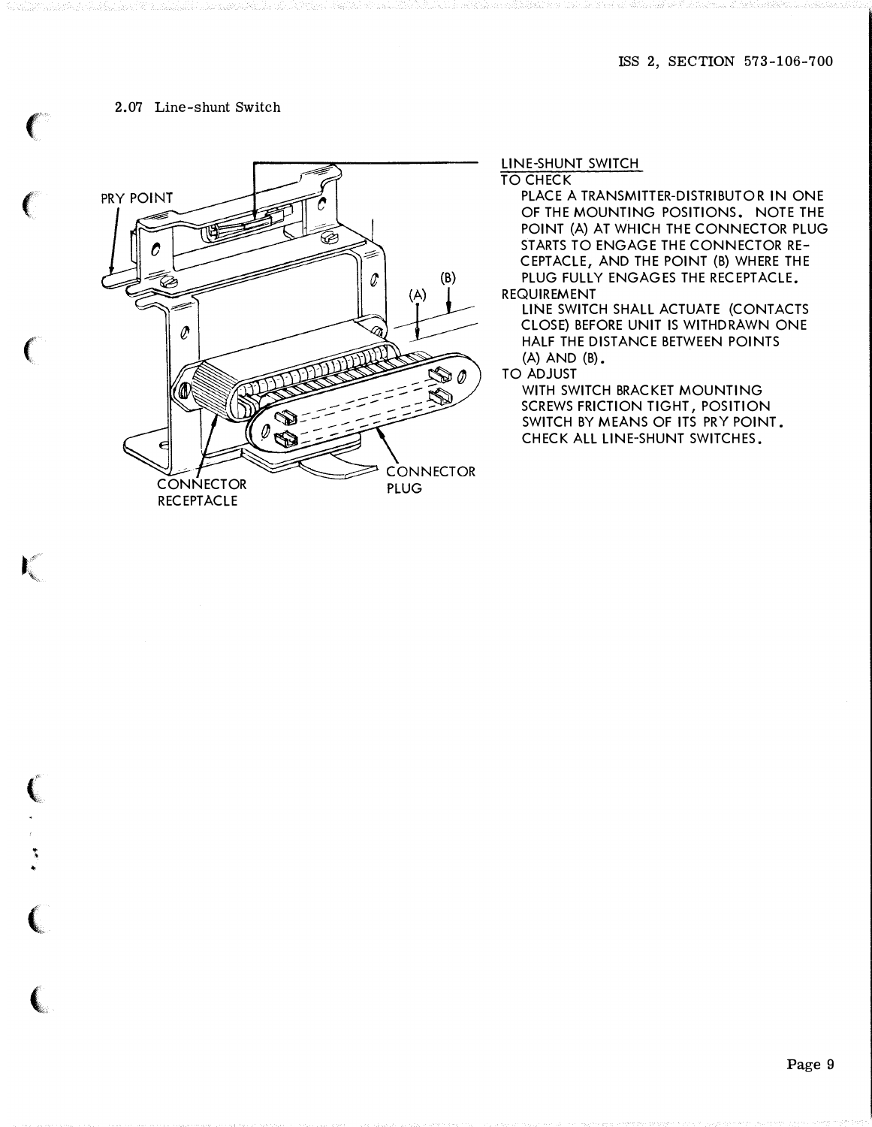## 2.07 Line-shunt Switch

 $\big($ 

 $\epsilon$ 

 $\epsilon$ 

 $\mathbf{r}$ 

 $\big($ 

.. • ..

 $\big($ 

 $\big($ 



LINE-SHUNT SWITCH

TO CHECK

PLACE A TRANSMITTER-DISTRIBUTOR IN ONE OF THE MOUNTING POSITIONS. NOTE THE POINT (A) AT WHICH THE CONNECTOR PLUG STARTS TO ENGAGE THE CONNECTOR RE-CEPTACLE, AND THE POINT (B) WHERE THE PLUG FULLY ENGAGES THE RECEPTACLE. REQUIREMENT

LINE SWITCH SHALL ACTUATE (CONTACTS CLOSE) BEFORE UNIT IS WITHDRAWN ONE HALF THE DISTANCE BETWEEN POINTS (A) AND (B).

TO ADJUST

WITH SWITCH BRACKET MOUNTING SCREWS FRICTION TIGHT, POSITION SWITCH BY MEANS OF ITS PRY POINT. CHECK ALL LINE-SHUNT SWITCHES.